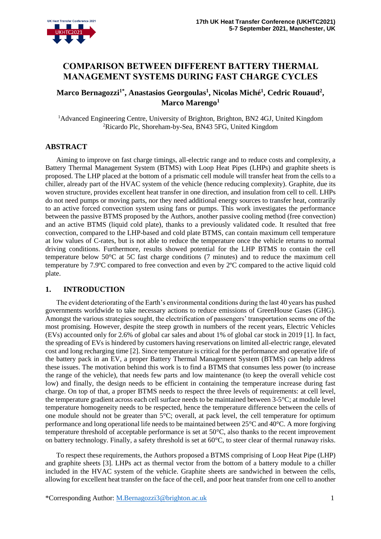# **COMPARISON BETWEEN DIFFERENT BATTERY THERMAL MANAGEMENT SYSTEMS DURING FAST CHARGE CYCLES**

## **Marco Bernagozzi1\*, Anastasios Georgoulas<sup>1</sup> , Nicolas Miché<sup>1</sup> , Cedric Rouaud<sup>2</sup> , Marco Marengo<sup>1</sup>**

<sup>1</sup>Advanced Engineering Centre, University of Brighton, Brighton, BN2 4GJ, United Kingdom <sup>2</sup>Ricardo Plc, Shoreham-by-Sea, BN43 5FG, United Kingdom

## **ABSTRACT**

Aiming to improve on fast charge timings, all-electric range and to reduce costs and complexity, a Battery Thermal Management System (BTMS) with Loop Heat Pipes (LHPs) and graphite sheets is proposed. The LHP placed at the bottom of a prismatic cell module will transfer heat from the cells to a chiller, already part of the HVAC system of the vehicle (hence reducing complexity). Graphite, due its woven structure, provides excellent heat transfer in one direction, and insulation from cell to cell. LHPs do not need pumps or moving parts, nor they need additional energy sources to transfer heat, contrarily to an active forced convection system using fans or pumps. This work investigates the performance between the passive BTMS proposed by the Authors, another passive cooling method (free convection) and an active BTMS (liquid cold plate), thanks to a previously validated code. It resulted that free convection, compared to the LHP-based and cold plate BTMS, can contain maximum cell temperature at low values of C-rates, but is not able to reduce the temperature once the vehicle returns to normal driving conditions. Furthermore, results showed potential for the LHP BTMS to contain the cell temperature below 50°C at 5C fast charge conditions (7 minutes) and to reduce the maximum cell temperature by 7.9ºC compared to free convection and even by 2ºC compared to the active liquid cold plate.

### **1. INTRODUCTION**

The evident deteriorating of the Earth's environmental conditions during the last 40 years has pushed governments worldwide to take necessary actions to reduce emissions of GreenHouse Gases (GHG). Amongst the various strategies sought, the electrification of passengers' transportation seems one of the most promising. However, despite the steep growth in numbers of the recent years, Electric Vehicles (EVs) accounted only for 2.6% of global car sales and about 1% of global car stock in 2019 [1]. In fact, the spreading of EVs is hindered by customers having reservations on limited all-electric range, elevated cost and long recharging time [2]. Since temperature is critical for the performance and operative life of the battery pack in an EV, a proper Battery Thermal Management System (BTMS) can help address these issues. The motivation behind this work is to find a BTMS that consumes less power (to increase the range of the vehicle), that needs few parts and low maintenance (to keep the overall vehicle cost low) and finally, the design needs to be efficient in containing the temperature increase during fast charge. On top of that, a proper BTMS needs to respect the three levels of requirements: at cell level, the temperature gradient across each cell surface needs to be maintained between 3-5°C; at module level temperature homogeneity needs to be respected, hence the temperature difference between the cells of one module should not be greater than 5°C; overall, at pack level, the cell temperature for optimum performance and long operational life needs to be maintained between 25°C and 40°C. A more forgiving temperature threshold of acceptable performance is set at 50°C, also thanks to the recent improvement on battery technology. Finally, a safety threshold is set at  $60^{\circ}$ C, to steer clear of thermal runaway risks.

To respect these requirements, the Authors proposed a BTMS comprising of Loop Heat Pipe (LHP) and graphite sheets [3]. LHPs act as thermal vector from the bottom of a battery module to a chiller included in the HVAC system of the vehicle. Graphite sheets are sandwiched in between the cells, allowing for excellent heat transfer on the face of the cell, and poor heat transfer from one cell to another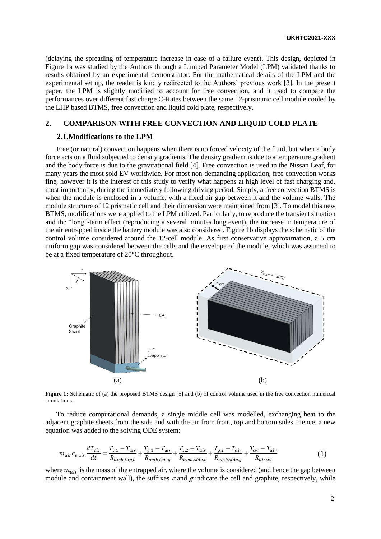(delaying the spreading of temperature increase in case of a failure event). This design, depicted in [Figure 1a](#page-1-0) was studied by the Authors through a Lumped Parameter Model (LPM) validated thanks to results obtained by an experimental demonstrator. For the mathematical details of the LPM and the experimental set up, the reader is kindly redirected to the Authors' previous work [3]. In the present paper, the LPM is slightly modified to account for free convection, and it used to compare the performances over different fast charge C-Rates between the same 12-prismaric cell module cooled by the LHP based BTMS, free convection and liquid cold plate, respectively.

### **2. COMPARISON WITH FREE CONVECTION AND LIQUID COLD PLATE**

#### **2.1.Modifications to the LPM**

Free (or natural) convection happens when there is no forced velocity of the fluid, but when a body force acts on a fluid subjected to density gradients. The density gradient is due to a temperature gradient and the body force is due to the gravitational field [4]. Free convection is used in the Nissan Leaf, for many years the most sold EV worldwide. For most non-demanding application, free convection works fine, however it is the interest of this study to verify what happens at high level of fast charging and, most importantly, during the immediately following driving period. Simply, a free convection BTMS is when the module is enclosed in a volume, with a fixed air gap between it and the volume walls. The module structure of 12 prismatic cell and their dimension were maintained from [3]. To model this new BTMS, modifications were applied to the LPM utilized. Particularly, to reproduce the transient situation and the "long"-term effect (reproducing a several minutes long event), the increase in temperature of the air entrapped inside the battery module was also considered. [Figure 1b](#page-1-0) displays the schematic of the control volume considered around the 12-cell module. As first conservative approximation, a 5 cm uniform gap was considered between the cells and the envelope of the module, which was assumed to be at a fixed temperature of 20°C throughout.



<span id="page-1-0"></span>**Figure 1:** Schematic of (a) the proposed BTMS design [5] and (b) of control volume used in the free convection numerical simulations.

To reduce computational demands, a single middle cell was modelled, exchanging heat to the adjacent graphite sheets from the side and with the air from front, top and bottom sides. Hence, a new equation was added to the solving ODE system:

$$
m_{air}c_{p,air}\frac{dT_{air}}{dt} = \frac{T_{c,1} - T_{air}}{R_{amb,top,c}} + \frac{T_{g,1} - T_{air}}{R_{amb,top,g}} + \frac{T_{c,2} - T_{air}}{R_{amb,side,c}} + \frac{T_{g,2} - T_{air}}{R_{amb,side,g}} + \frac{T_{cw} - T_{air}}{R_{aircw}}
$$
(1)

where  $m_{air}$  is the mass of the entrapped air, where the volume is considered (and hence the gap between module and containment wall), the suffixes  $c$  and  $g$  indicate the cell and graphite, respectively, while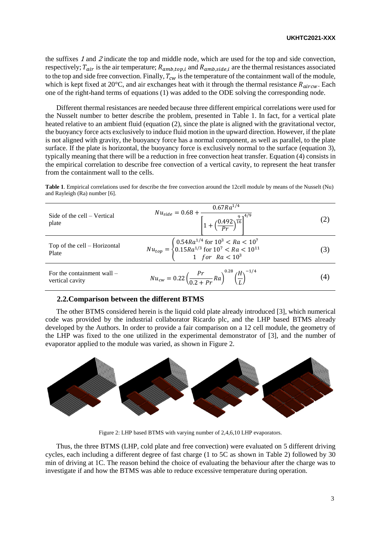the suffixes <sup>1</sup> and <sup>2</sup> indicate the top and middle node, which are used for the top and side convection, respectively;  $T_{air}$  is the air temperature;  $R_{amb, top,i}$  and  $R_{amb, side,i}$  are the thermal resistances associated to the top and side free convection. Finally,  $T_{cw}$  is the temperature of the containment wall of the module, which is kept fixed at 20 $\degree$ C, and air exchanges heat with it through the thermal resistance  $R_{aircw}$ . Each one of the right-hand terms of equations (1) was added to the ODE solving the corresponding node.

Different thermal resistances are needed because three different empirical correlations were used for the Nusselt number to better describe the problem, presented in [Table 1.](#page-2-0) In fact, for a vertical plate heated relative to an ambient fluid (equation (2), since the plate is aligned with the gravitational vector, the buoyancy force acts exclusively to induce fluid motion in the upward direction. However, if the plate is not aligned with gravity, the buoyancy force has a normal component, as well as parallel, to the plate surface. If the plate is horizontal, the buoyancy force is exclusively normal to the surface (equation 3), typically meaning that there will be a reduction in free convection heat transfer. Equation (4) consists in the empirical correlation to describe free convection of a vertical cavity, to represent the heat transfer from the containment wall to the cells.

<span id="page-2-0"></span>**Table 1**. Empirical correlations used for describe the free convection around the 12cell module by means of the Nusselt (Nu) and Rayleigh (Ra) number [6].

| Side of the cell – Vertical<br>plate            | $Nu_{side} = 0.68 + \frac{0.67R\overline{a}^{1/4}}{\left[1 + \left(\frac{0.492}{Pr}\right)^{\frac{9}{16}}\right]^{4/9}}$                                                            |               |
|-------------------------------------------------|-------------------------------------------------------------------------------------------------------------------------------------------------------------------------------------|---------------|
| Top of the cell – Horizontal<br>Plate           | $Nu_{top} = \begin{cases} 0.54 Ra^{1/4} \text{ for } 10^3 < Ra < 10^7\\ 0.15 Ra^{1/3} \text{ for } 10^7 < Ra < 10^{11}\\ 1 \hspace{0.5cm} for \hspace{0.5cm} Ra < 10^3 \end{cases}$ | $\mathcal{S}$ |
| For the containment wall $-$<br>vertical cavity | $Nu_{cw} = 0.22 \left( \frac{Pr}{0.2 + Pr} Ra \right)^{0.28} \left( \frac{H}{I} \right)^{-1/4}$                                                                                     | (4)           |

#### **2.2.Comparison between the different BTMS**

The other BTMS considered herein is the liquid cold plate already introduced [3], which numerical code was provided by the industrial collaborator Ricardo plc, and the LHP based BTMS already developed by the Authors. In order to provide a fair comparison on a 12 cell module, the geometry of the LHP was fixed to the one utilized in the experimental demonstrator of [3], and the number of evaporator applied to the module was varied, as shown in [Figure 2.](#page-2-1)



Figure 2: LHP based BTMS with varying number of 2,4,6,10 LHP evaporators.

<span id="page-2-1"></span>Thus, the three BTMS (LHP, cold plate and free convection) were evaluated on 5 different driving cycles, each including a different degree of fast charge (1 to 5C as shown in [Table 2\)](#page-3-0) followed by 30 min of driving at 1C. The reason behind the choice of evaluating the behaviour after the charge was to investigate if and how the BTMS was able to reduce excessive temperature during operation.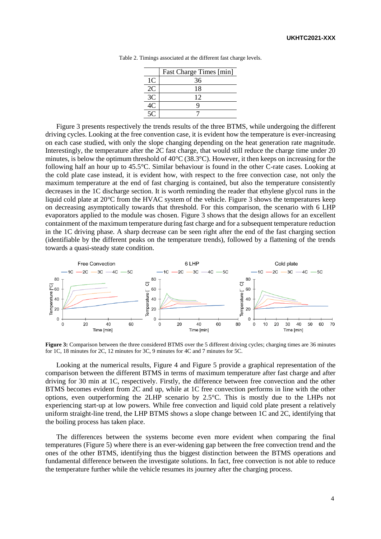|                | Fast Charge Times [min] |
|----------------|-------------------------|
| 1 <sup>C</sup> | 36                      |
| 2C             | 18                      |
| 3C             | 12                      |
|                | Q                       |
|                |                         |

Table 2. Timings associated at the different fast charge levels.

<span id="page-3-0"></span>[Figure 3](#page-3-1) presents respectively the trends results of the three BTMS, while undergoing the different driving cycles. Looking at the free convention case, it is evident how the temperature is ever-increasing on each case studied, with only the slope changing depending on the heat generation rate magnitude. Interestingly, the temperature after the 2C fast charge, that would still reduce the charge time under 20 minutes, is below the optimum threshold of 40°C (38.3°C). However, it then keeps on increasing for the following half an hour up to 45.5°C. Similar behaviour is found in the other C-rate cases. Looking at the cold plate case instead, it is evident how, with respect to the free convection case, not only the maximum temperature at the end of fast charging is contained, but also the temperature consistently decreases in the 1C discharge section. It is worth reminding the reader that ethylene glycol runs in the liquid cold plate at 20°C from the HVAC system of the vehicle. [Figure 3](#page-3-1) shows the temperatures keep on decreasing asymptotically towards that threshold. For this comparison, the scenario with 6 LHP evaporators applied to the module was chosen. [Figure 3](#page-3-1) shows that the design allows for an excellent containment of the maximum temperature during fast charge and for a subsequent temperature reduction in the 1C driving phase. A sharp decrease can be seen right after the end of the fast charging section (identifiable by the different peaks on the temperature trends), followed by a flattening of the trends towards a quasi-steady state condition.



<span id="page-3-1"></span>**Figure 3:** Comparison between the three considered BTMS over the 5 different driving cycles; charging times are 36 minutes for 1C, 18 minutes for 2C, 12 minutes for 3C, 9 minutes for 4C and 7 minutes for 5C.

Looking at the numerical results, [Figure 4](#page-4-0) and [Figure 5](#page-4-1) provide a graphical representation of the comparison between the different BTMS in terms of maximum temperature after fast charge and after driving for 30 min at 1C, respectively. Firstly, the difference between free convection and the other BTMS becomes evident from 2C and up, while at 1C free convection performs in line with the other options, even outperforming the 2LHP scenario by 2.5°C. This is mostly due to the LHPs not experiencing start-up at low powers. While free convection and liquid cold plate present a relatively uniform straight-line trend, the LHP BTMS shows a slope change between 1C and 2C, identifying that the boiling process has taken place.

The differences between the systems become even more evident when comparing the final temperatures [\(Figure 5\)](#page-4-1) where there is an ever-widening gap between the free convection trend and the ones of the other BTMS, identifying thus the biggest distinction between the BTMS operations and fundamental difference between the investigate solutions. In fact, free convection is not able to reduce the temperature further while the vehicle resumes its journey after the charging process.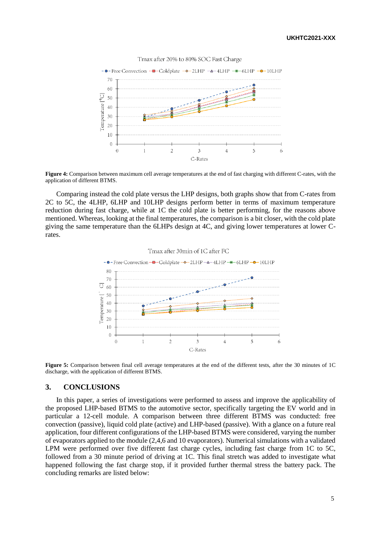

<span id="page-4-0"></span>**Figure 4:** Comparison between maximum cell average temperatures at the end of fast charging with different C-rates, with the application of different BTMS.

Comparing instead the cold plate versus the LHP designs, both graphs show that from C-rates from 2C to 5C, the 4LHP, 6LHP and 10LHP designs perform better in terms of maximum temperature reduction during fast charge, while at 1C the cold plate is better performing, for the reasons above mentioned. Whereas, looking at the final temperatures, the comparison is a bit closer, with the cold plate giving the same temperature than the 6LHPs design at 4C, and giving lower temperatures at lower Crates.



<span id="page-4-1"></span>**Figure 5:** Comparison between final cell average temperatures at the end of the different tests, after the 30 minutes of 1C discharge, with the application of different BTMS.

#### **3. CONCLUSIONS**

In this paper, a series of investigations were performed to assess and improve the applicability of the proposed LHP-based BTMS to the automotive sector, specifically targeting the EV world and in particular a 12-cell module. A comparison between three different BTMS was conducted: free convection (passive), liquid cold plate (active) and LHP-based (passive). With a glance on a future real application, four different configurations of the LHP-based BTMS were considered, varying the number of evaporators applied to the module (2,4,6 and 10 evaporators). Numerical simulations with a validated LPM were performed over five different fast charge cycles, including fast charge from 1C to 5C, followed from a 30 minute period of driving at 1C. This final stretch was added to investigate what happened following the fast charge stop, if it provided further thermal stress the battery pack. The concluding remarks are listed below: